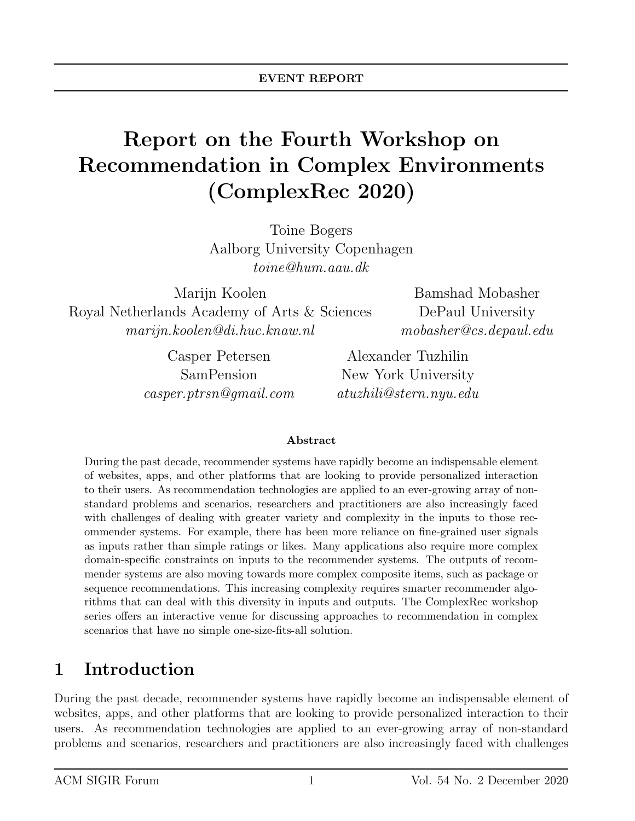# Report on the Fourth Workshop on Recommendation in Complex Environments (ComplexRec 2020)

Toine Bogers Aalborg University Copenhagen toine@hum.aau.dk

Marijn Koolen Royal Netherlands Academy of Arts & Sciences marijn.koolen@di.huc.knaw.nl

> Casper Petersen SamPension casper.ptrsn@gmail.com

Bamshad Mobasher DePaul University mobasher@cs.depaul.edu

Alexander Tuzhilin New York University atuzhili@stern.nyu.edu

#### Abstract

During the past decade, recommender systems have rapidly become an indispensable element of websites, apps, and other platforms that are looking to provide personalized interaction to their users. As recommendation technologies are applied to an ever-growing array of nonstandard problems and scenarios, researchers and practitioners are also increasingly faced with challenges of dealing with greater variety and complexity in the inputs to those recommender systems. For example, there has been more reliance on fine-grained user signals as inputs rather than simple ratings or likes. Many applications also require more complex domain-specific constraints on inputs to the recommender systems. The outputs of recommender systems are also moving towards more complex composite items, such as package or sequence recommendations. This increasing complexity requires smarter recommender algorithms that can deal with this diversity in inputs and outputs. The ComplexRec workshop series offers an interactive venue for discussing approaches to recommendation in complex scenarios that have no simple one-size-fits-all solution.

## 1 Introduction

During the past decade, recommender systems have rapidly become an indispensable element of websites, apps, and other platforms that are looking to provide personalized interaction to their users. As recommendation technologies are applied to an ever-growing array of non-standard problems and scenarios, researchers and practitioners are also increasingly faced with challenges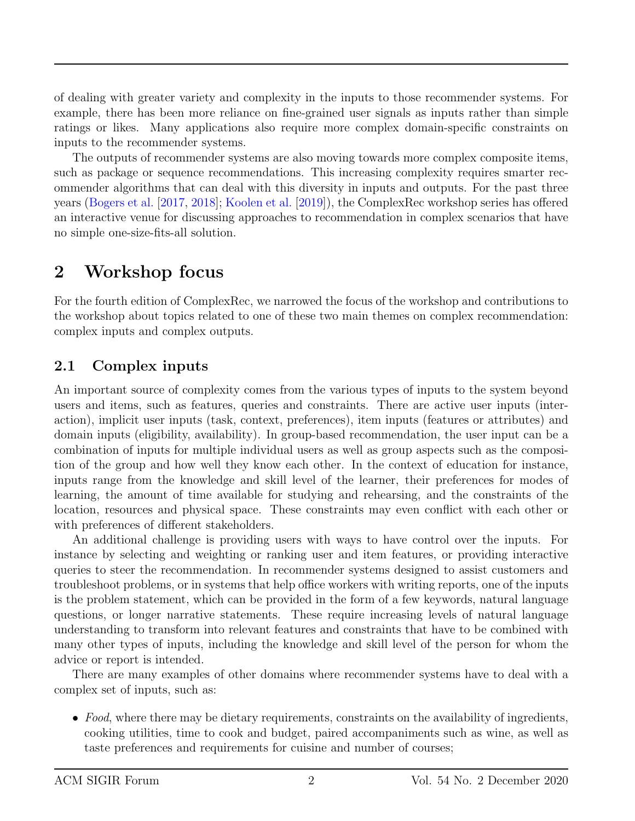of dealing with greater variety and complexity in the inputs to those recommender systems. For example, there has been more reliance on fine-grained user signals as inputs rather than simple ratings or likes. Many applications also require more complex domain-specific constraints on inputs to the recommender systems.

The outputs of recommender systems are also moving towards more complex composite items, such as package or sequence recommendations. This increasing complexity requires smarter recommender algorithms that can deal with this diversity in inputs and outputs. For the past three years [\(Bogers et al.](#page-6-0) [\[2017,](#page-6-0) [2018\]](#page-6-1); [Koolen et al.](#page-6-2) [\[2019\]](#page-6-2)), the ComplexRec workshop series has offered an interactive venue for discussing approaches to recommendation in complex scenarios that have no simple one-size-fits-all solution.

### 2 Workshop focus

For the fourth edition of ComplexRec, we narrowed the focus of the workshop and contributions to the workshop about topics related to one of these two main themes on complex recommendation: complex inputs and complex outputs.

#### 2.1 Complex inputs

An important source of complexity comes from the various types of inputs to the system beyond users and items, such as features, queries and constraints. There are active user inputs (interaction), implicit user inputs (task, context, preferences), item inputs (features or attributes) and domain inputs (eligibility, availability). In group-based recommendation, the user input can be a combination of inputs for multiple individual users as well as group aspects such as the composition of the group and how well they know each other. In the context of education for instance, inputs range from the knowledge and skill level of the learner, their preferences for modes of learning, the amount of time available for studying and rehearsing, and the constraints of the location, resources and physical space. These constraints may even conflict with each other or with preferences of different stakeholders.

An additional challenge is providing users with ways to have control over the inputs. For instance by selecting and weighting or ranking user and item features, or providing interactive queries to steer the recommendation. In recommender systems designed to assist customers and troubleshoot problems, or in systems that help office workers with writing reports, one of the inputs is the problem statement, which can be provided in the form of a few keywords, natural language questions, or longer narrative statements. These require increasing levels of natural language understanding to transform into relevant features and constraints that have to be combined with many other types of inputs, including the knowledge and skill level of the person for whom the advice or report is intended.

There are many examples of other domains where recommender systems have to deal with a complex set of inputs, such as:

• Food, where there may be dietary requirements, constraints on the availability of ingredients, cooking utilities, time to cook and budget, paired accompaniments such as wine, as well as taste preferences and requirements for cuisine and number of courses;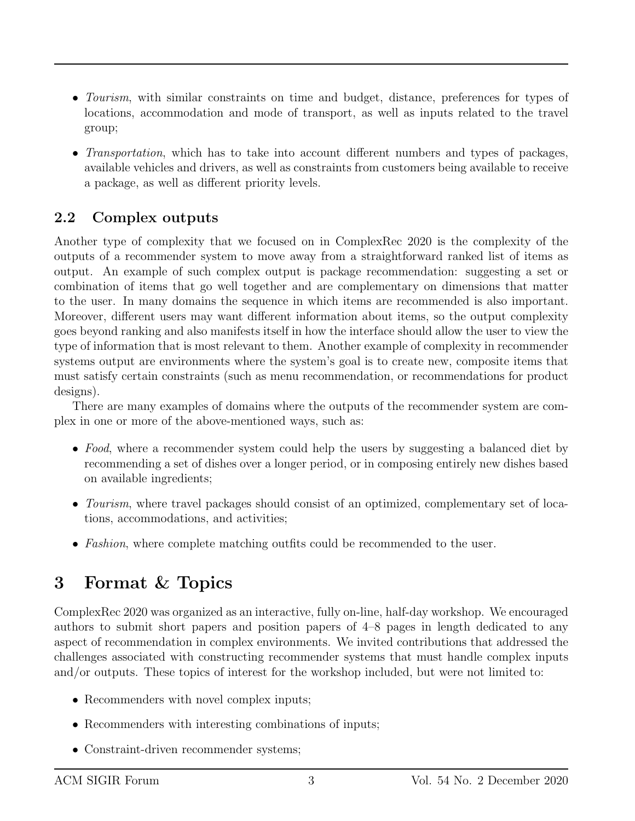- *Tourism*, with similar constraints on time and budget, distance, preferences for types of locations, accommodation and mode of transport, as well as inputs related to the travel group;
- *Transportation*, which has to take into account different numbers and types of packages, available vehicles and drivers, as well as constraints from customers being available to receive a package, as well as different priority levels.

#### 2.2 Complex outputs

Another type of complexity that we focused on in ComplexRec 2020 is the complexity of the outputs of a recommender system to move away from a straightforward ranked list of items as output. An example of such complex output is package recommendation: suggesting a set or combination of items that go well together and are complementary on dimensions that matter to the user. In many domains the sequence in which items are recommended is also important. Moreover, different users may want different information about items, so the output complexity goes beyond ranking and also manifests itself in how the interface should allow the user to view the type of information that is most relevant to them. Another example of complexity in recommender systems output are environments where the system's goal is to create new, composite items that must satisfy certain constraints (such as menu recommendation, or recommendations for product designs).

There are many examples of domains where the outputs of the recommender system are complex in one or more of the above-mentioned ways, such as:

- Food, where a recommender system could help the users by suggesting a balanced diet by recommending a set of dishes over a longer period, or in composing entirely new dishes based on available ingredients;
- Tourism, where travel packages should consist of an optimized, complementary set of locations, accommodations, and activities;
- Fashion, where complete matching outfits could be recommended to the user.

## 3 Format & Topics

ComplexRec 2020 was organized as an interactive, fully on-line, half-day workshop. We encouraged authors to submit short papers and position papers of 4–8 pages in length dedicated to any aspect of recommendation in complex environments. We invited contributions that addressed the challenges associated with constructing recommender systems that must handle complex inputs and/or outputs. These topics of interest for the workshop included, but were not limited to:

- Recommenders with novel complex inputs;
- Recommenders with interesting combinations of inputs;
- Constraint-driven recommender systems;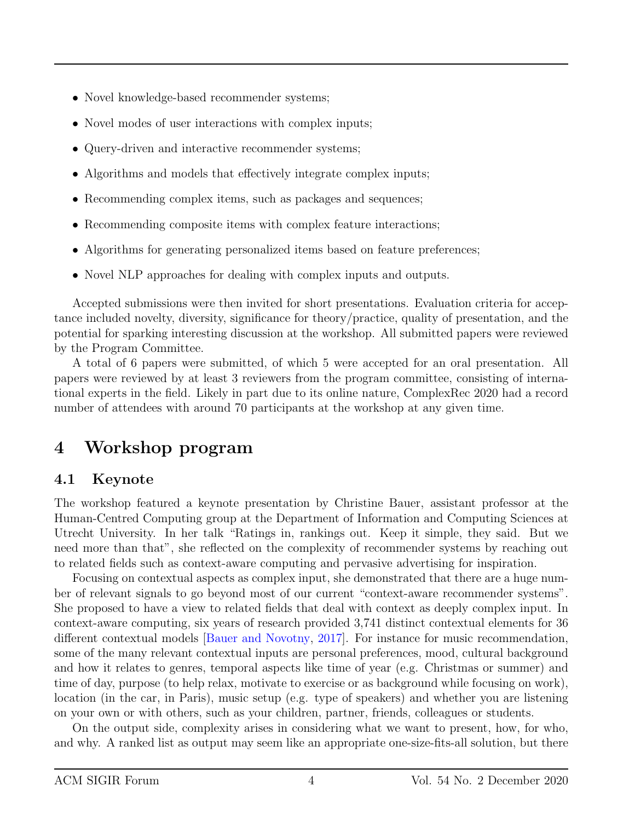- Novel knowledge-based recommender systems;
- Novel modes of user interactions with complex inputs;
- Query-driven and interactive recommender systems;
- Algorithms and models that effectively integrate complex inputs;
- Recommending complex items, such as packages and sequences;
- Recommending composite items with complex feature interactions;
- Algorithms for generating personalized items based on feature preferences;
- Novel NLP approaches for dealing with complex inputs and outputs.

Accepted submissions were then invited for short presentations. Evaluation criteria for acceptance included novelty, diversity, significance for theory/practice, quality of presentation, and the potential for sparking interesting discussion at the workshop. All submitted papers were reviewed by the Program Committee.

A total of 6 papers were submitted, of which 5 were accepted for an oral presentation. All papers were reviewed by at least 3 reviewers from the program committee, consisting of international experts in the field. Likely in part due to its online nature, ComplexRec 2020 had a record number of attendees with around 70 participants at the workshop at any given time.

## 4 Workshop program

#### 4.1 Keynote

The workshop featured a keynote presentation by Christine Bauer, assistant professor at the Human-Centred Computing group at the Department of Information and Computing Sciences at Utrecht University. In her talk "Ratings in, rankings out. Keep it simple, they said. But we need more than that", she reflected on the complexity of recommender systems by reaching out to related fields such as context-aware computing and pervasive advertising for inspiration.

Focusing on contextual aspects as complex input, she demonstrated that there are a huge number of relevant signals to go beyond most of our current "context-aware recommender systems". She proposed to have a view to related fields that deal with context as deeply complex input. In context-aware computing, six years of research provided 3,741 distinct contextual elements for 36 different contextual models [\[Bauer and Novotny,](#page-6-3) [2017\]](#page-6-3). For instance for music recommendation, some of the many relevant contextual inputs are personal preferences, mood, cultural background and how it relates to genres, temporal aspects like time of year (e.g. Christmas or summer) and time of day, purpose (to help relax, motivate to exercise or as background while focusing on work), location (in the car, in Paris), music setup (e.g. type of speakers) and whether you are listening on your own or with others, such as your children, partner, friends, colleagues or students.

On the output side, complexity arises in considering what we want to present, how, for who, and why. A ranked list as output may seem like an appropriate one-size-fits-all solution, but there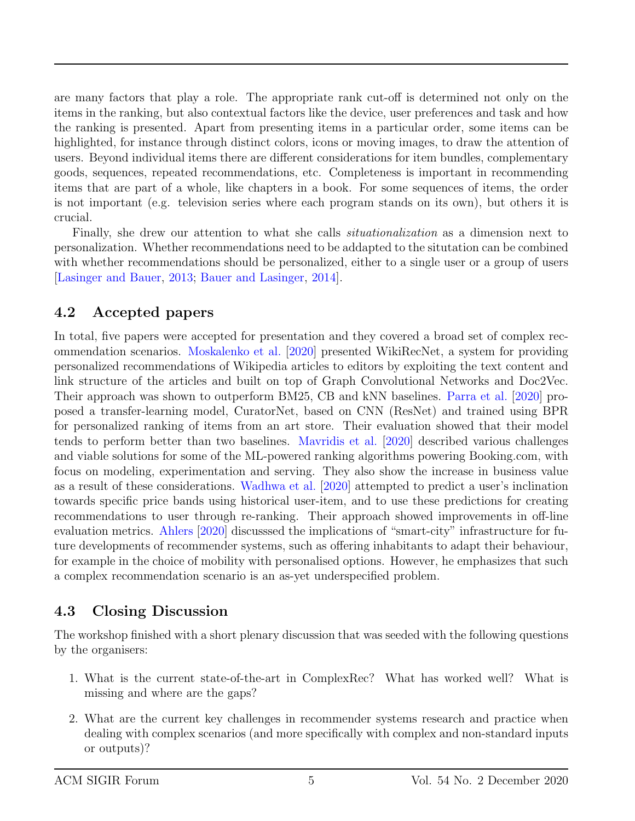are many factors that play a role. The appropriate rank cut-off is determined not only on the items in the ranking, but also contextual factors like the device, user preferences and task and how the ranking is presented. Apart from presenting items in a particular order, some items can be highlighted, for instance through distinct colors, icons or moving images, to draw the attention of users. Beyond individual items there are different considerations for item bundles, complementary goods, sequences, repeated recommendations, etc. Completeness is important in recommending items that are part of a whole, like chapters in a book. For some sequences of items, the order is not important (e.g. television series where each program stands on its own), but others it is crucial.

Finally, she drew our attention to what she calls situationalization as a dimension next to personalization. Whether recommendations need to be addapted to the situtation can be combined with whether recommendations should be personalized, either to a single user or a group of users [\[Lasinger and Bauer,](#page-6-4) [2013;](#page-6-4) [Bauer and Lasinger,](#page-6-5) [2014\]](#page-6-5).

#### 4.2 Accepted papers

In total, five papers were accepted for presentation and they covered a broad set of complex recommendation scenarios. [Moskalenko et al.](#page-6-6) [\[2020\]](#page-6-6) presented WikiRecNet, a system for providing personalized recommendations of Wikipedia articles to editors by exploiting the text content and link structure of the articles and built on top of Graph Convolutional Networks and Doc2Vec. Their approach was shown to outperform BM25, CB and kNN baselines. [Parra et al.](#page-6-7) [\[2020\]](#page-6-7) proposed a transfer-learning model, CuratorNet, based on CNN (ResNet) and trained using BPR for personalized ranking of items from an art store. Their evaluation showed that their model tends to perform better than two baselines. [Mavridis et al.](#page-6-8) [\[2020\]](#page-6-8) described various challenges and viable solutions for some of the ML-powered ranking algorithms powering Booking.com, with focus on modeling, experimentation and serving. They also show the increase in business value as a result of these considerations. [Wadhwa et al.](#page-6-9) [\[2020\]](#page-6-9) attempted to predict a user's inclination towards specific price bands using historical user-item, and to use these predictions for creating recommendations to user through re-ranking. Their approach showed improvements in off-line evaluation metrics. [Ahlers](#page-6-10) [\[2020\]](#page-6-10) discusssed the implications of "smart-city" infrastructure for future developments of recommender systems, such as offering inhabitants to adapt their behaviour, for example in the choice of mobility with personalised options. However, he emphasizes that such a complex recommendation scenario is an as-yet underspecified problem.

#### 4.3 Closing Discussion

The workshop finished with a short plenary discussion that was seeded with the following questions by the organisers:

- 1. What is the current state-of-the-art in ComplexRec? What has worked well? What is missing and where are the gaps?
- 2. What are the current key challenges in recommender systems research and practice when dealing with complex scenarios (and more specifically with complex and non-standard inputs or outputs)?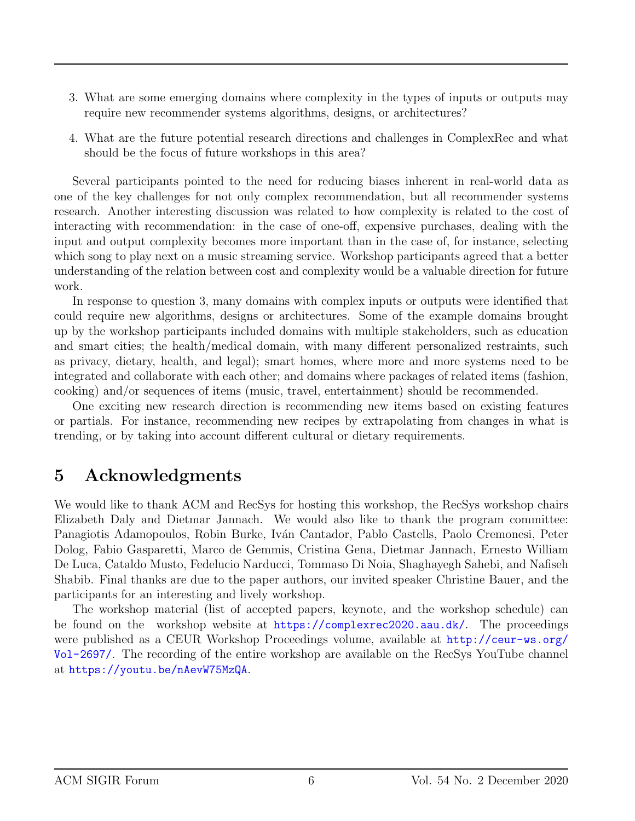- 3. What are some emerging domains where complexity in the types of inputs or outputs may require new recommender systems algorithms, designs, or architectures?
- 4. What are the future potential research directions and challenges in ComplexRec and what should be the focus of future workshops in this area?

Several participants pointed to the need for reducing biases inherent in real-world data as one of the key challenges for not only complex recommendation, but all recommender systems research. Another interesting discussion was related to how complexity is related to the cost of interacting with recommendation: in the case of one-off, expensive purchases, dealing with the input and output complexity becomes more important than in the case of, for instance, selecting which song to play next on a music streaming service. Workshop participants agreed that a better understanding of the relation between cost and complexity would be a valuable direction for future work.

In response to question 3, many domains with complex inputs or outputs were identified that could require new algorithms, designs or architectures. Some of the example domains brought up by the workshop participants included domains with multiple stakeholders, such as education and smart cities; the health/medical domain, with many different personalized restraints, such as privacy, dietary, health, and legal); smart homes, where more and more systems need to be integrated and collaborate with each other; and domains where packages of related items (fashion, cooking) and/or sequences of items (music, travel, entertainment) should be recommended.

One exciting new research direction is recommending new items based on existing features or partials. For instance, recommending new recipes by extrapolating from changes in what is trending, or by taking into account different cultural or dietary requirements.

### 5 Acknowledgments

We would like to thank ACM and RecSys for hosting this workshop, the RecSys workshop chairs Elizabeth Daly and Dietmar Jannach. We would also like to thank the program committee: Panagiotis Adamopoulos, Robin Burke, Iván Cantador, Pablo Castells, Paolo Cremonesi, Peter Dolog, Fabio Gasparetti, Marco de Gemmis, Cristina Gena, Dietmar Jannach, Ernesto William De Luca, Cataldo Musto, Fedelucio Narducci, Tommaso Di Noia, Shaghayegh Sahebi, and Nafiseh Shabib. Final thanks are due to the paper authors, our invited speaker Christine Bauer, and the participants for an interesting and lively workshop.

The workshop material (list of accepted papers, keynote, and the workshop schedule) can be found on the workshop website at <https://complexrec2020.aau.dk/>. The proceedings were published as a CEUR Workshop Proceedings volume, available at [http://ceur-ws.org/](http://ceur-ws.org/Vol-2697/) [Vol-2697/](http://ceur-ws.org/Vol-2697/). The recording of the entire workshop are available on the RecSys YouTube channel at <https://youtu.be/nAevW75MzQA>.